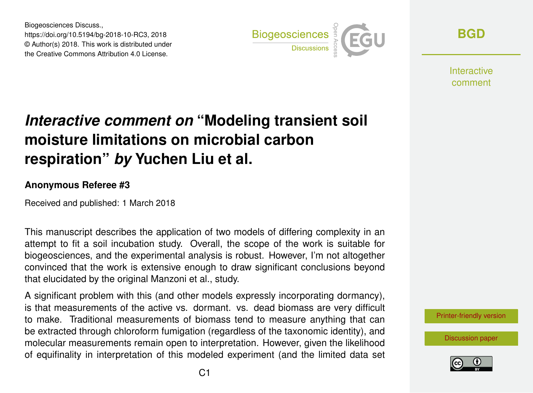Biogeosciences Discuss., https://doi.org/10.5194/bg-2018-10-RC3, 2018 © Author(s) 2018. This work is distributed under the Creative Commons Attribution 4.0 License.



**[BGD](https://www.biogeosciences-discuss.net/)**

**Interactive** comment

## *Interactive comment on* **"Modeling transient soil moisture limitations on microbial carbon respiration"** *by* **Yuchen Liu et al.**

## **Anonymous Referee #3**

Received and published: 1 March 2018

This manuscript describes the application of two models of differing complexity in an attempt to fit a soil incubation study. Overall, the scope of the work is suitable for biogeosciences, and the experimental analysis is robust. However, I'm not altogether convinced that the work is extensive enough to draw significant conclusions beyond that elucidated by the original Manzoni et al., study.

A significant problem with this (and other models expressly incorporating dormancy), is that measurements of the active vs. dormant. vs. dead biomass are very difficult to make. Traditional measurements of biomass tend to measure anything that can be extracted through chloroform fumigation (regardless of the taxonomic identity), and molecular measurements remain open to interpretation. However, given the likelihood of equifinality in interpretation of this modeled experiment (and the limited data set

[Printer-friendly version](https://www.biogeosciences-discuss.net/bg-2018-10/bg-2018-10-RC3-print.pdf)

[Discussion paper](https://www.biogeosciences-discuss.net/bg-2018-10)

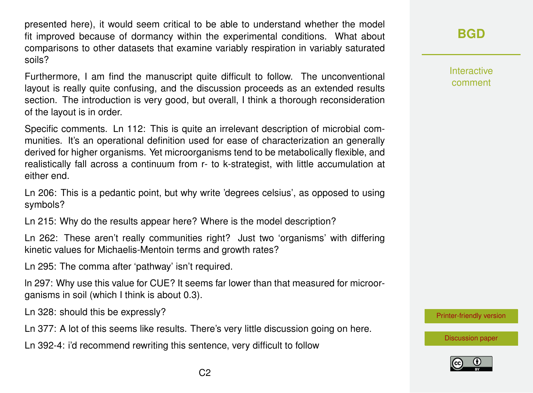presented here), it would seem critical to be able to understand whether the model fit improved because of dormancy within the experimental conditions. What about comparisons to other datasets that examine variably respiration in variably saturated soils?

Furthermore, I am find the manuscript quite difficult to follow. The unconventional layout is really quite confusing, and the discussion proceeds as an extended results section. The introduction is very good, but overall, I think a thorough reconsideration of the layout is in order.

Specific comments. Ln 112: This is quite an irrelevant description of microbial communities. It's an operational definition used for ease of characterization an generally derived for higher organisms. Yet microorganisms tend to be metabolically flexible, and realistically fall across a continuum from r- to k-strategist, with little accumulation at either end.

Ln 206: This is a pedantic point, but why write 'degrees celsius', as opposed to using symbols?

Ln 215: Why do the results appear here? Where is the model description?

Ln 262: These aren't really communities right? Just two 'organisms' with differing kinetic values for Michaelis-Mentoin terms and growth rates?

Ln 295: The comma after 'pathway' isn't required.

ln 297: Why use this value for CUE? It seems far lower than that measured for microorganisms in soil (which I think is about 0.3).

Ln 328: should this be expressly?

Ln 377: A lot of this seems like results. There's very little discussion going on here.

Ln 392-4: i'd recommend rewriting this sentence, very difficult to follow

Interactive comment

[Printer-friendly version](https://www.biogeosciences-discuss.net/bg-2018-10/bg-2018-10-RC3-print.pdf)

[Discussion paper](https://www.biogeosciences-discuss.net/bg-2018-10)